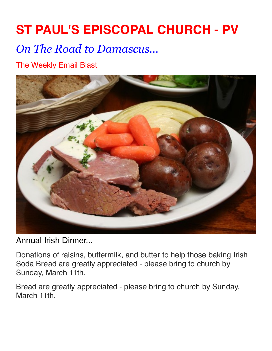## **ST PAUL'S EPISCOPAL CHURCH - PV**

## *On The Road to Damascus...*

The Weekly Email Blast



Annual Irish Dinner...

Donations of raisins, buttermilk, and butter to help those baking Irish Soda Bread are greatly appreciated - please bring to church by Sunday, March 11th.

Bread are greatly appreciated - please bring to church by Sunday, March 11th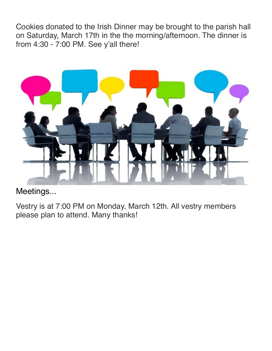Cookies donated to the Irish Dinner may be brought to the parish hall on Saturday, March 17th in the the morning/afternoon. The dinner is from 4:30 - 7:00 PM. See y'all there!



## Meetings...

Vestry is at 7:00 PM on Monday, March 12th. All vestry members please plan to attend. Many thanks!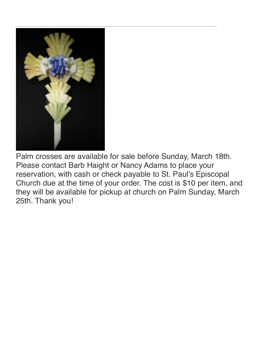

Palm crosses are available for sale before Sunday, March 18th. Please contact Barb Haight or Nancy Adams to place your reservation, with cash or check payable to St. Paul's Episcopal Church due at the time of your order. The cost is \$10 per item, and they will be available for pickup at church on Palm Sunday, March 25th. Thank you!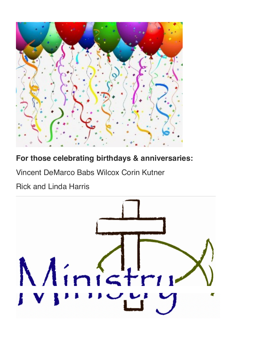

## **For those celebrating birthdays & anniversaries:**

Vincent DeMarco Babs Wilcox Corin Kutner

Rick and Linda Harris